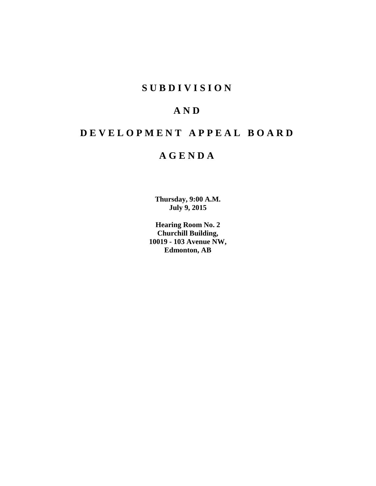# **S U B D I V I S I O N**

# **A N D**

# **D E V E L O P M E N T A P P E A L B O A R D**

## **A G E N D A**

**Thursday, 9:00 A.M. July 9, 2015**

**Hearing Room No. 2 Churchill Building, 10019 - 103 Avenue NW, Edmonton, AB**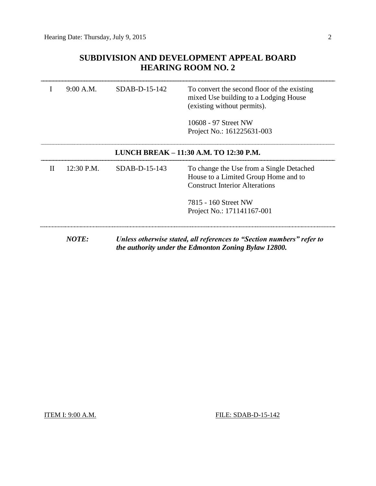## **SUBDIVISION AND DEVELOPMENT APPEAL BOARD HEARING ROOM NO. 2**

|              | 9:00 A.M.    | $SDAB-D-15-142$ | To convert the second floor of the existing<br>mixed Use building to a Lodging House<br>(existing without permits).           |
|--------------|--------------|-----------------|-------------------------------------------------------------------------------------------------------------------------------|
|              |              |                 | 10608 - 97 Street NW<br>Project No.: 161225631-003                                                                            |
|              |              |                 | LUNCH BREAK - 11:30 A.M. TO 12:30 P.M.                                                                                        |
| $\mathbf{H}$ | 12:30 P.M.   | $SDAB-D-15-143$ | To change the Use from a Single Detached<br>House to a Limited Group Home and to<br><b>Construct Interior Alterations</b>     |
|              |              |                 | 7815 - 160 Street NW<br>Project No.: 171141167-001                                                                            |
|              | <b>NOTE:</b> |                 | Unless otherwise stated, all references to "Section numbers" refer to<br>the authority under the Edmonton Zoning Bylaw 12800. |

ITEM I: 9:00 A.M. **FILE: SDAB-D-15-142**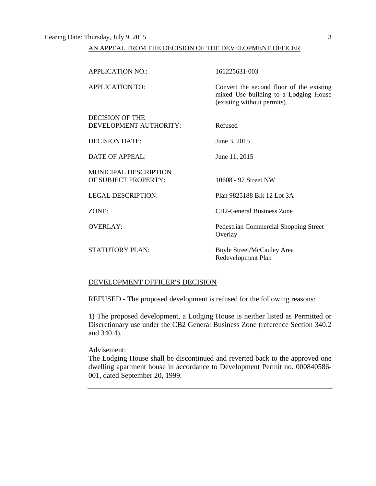## Hearing Date: Thursday, July 9, 2015 3

## AN APPEAL FROM THE DECISION OF THE DEVELOPMENT OFFICER

| <b>APPLICATION NO.:</b>      | 161225631-003                                                                                                    |
|------------------------------|------------------------------------------------------------------------------------------------------------------|
| APPLICATION TO:              | Convert the second floor of the existing<br>mixed Use building to a Lodging House<br>(existing without permits). |
| <b>DECISION OF THE</b>       |                                                                                                                  |
| DEVELOPMENT AUTHORITY:       | Refused                                                                                                          |
| <b>DECISION DATE:</b>        | June 3, 2015                                                                                                     |
| DATE OF APPEAL:              | June 11, 2015                                                                                                    |
| <b>MUNICIPAL DESCRIPTION</b> |                                                                                                                  |
| OF SUBJECT PROPERTY:         | 10608 - 97 Street NW                                                                                             |
| <b>LEGAL DESCRIPTION:</b>    | Plan 9825188 Blk 12 Lot 3A                                                                                       |
| ZONE:                        | <b>CB2-General Business Zone</b>                                                                                 |
| <b>OVERLAY:</b>              | Pedestrian Commercial Shopping Street<br>Overlay                                                                 |
| <b>STATUTORY PLAN:</b>       | <b>Boyle Street/McCauley Area</b><br>Redevelopment Plan                                                          |

#### DEVELOPMENT OFFICER'S DECISION

REFUSED - The proposed development is refused for the following reasons:

1) The proposed development, a Lodging House is neither listed as Permitted or Discretionary use under the CB2 General Business Zone (reference Section 340.2 and 340.4).

#### Advisement:

The Lodging House shall be discontinued and reverted back to the approved one dwelling apartment house in accordance to Development Permit no. 000840586- 001, dated September 20, 1999.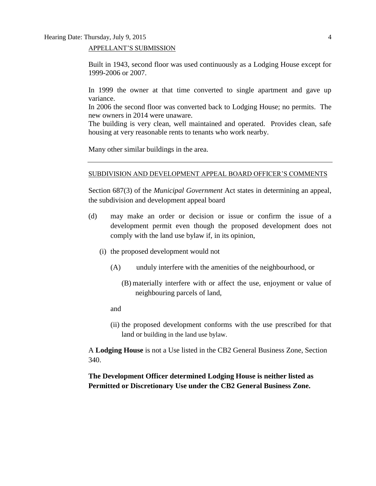APPELLANT'S SUBMISSION

Built in 1943, second floor was used continuously as a Lodging House except for 1999-2006 or 2007.

In 1999 the owner at that time converted to single apartment and gave up variance.

In 2006 the second floor was converted back to Lodging House; no permits. The new owners in 2014 were unaware.

The building is very clean, well maintained and operated. Provides clean, safe housing at very reasonable rents to tenants who work nearby.

Many other similar buildings in the area.

#### SUBDIVISION AND DEVELOPMENT APPEAL BOARD OFFICER'S COMMENTS

Section 687(3) of the *Municipal Government* Act states in determining an appeal, the subdivision and development appeal board

- (d) may make an order or decision or issue or confirm the issue of a development permit even though the proposed development does not comply with the land use bylaw if, in its opinion,
	- (i) the proposed development would not
		- (A) unduly interfere with the amenities of the neighbourhood, or
			- (B) materially interfere with or affect the use, enjoyment or value of neighbouring parcels of land,

and

(ii) the proposed development conforms with the use prescribed for that land or building in the land use bylaw.

A **Lodging House** is not a Use listed in the CB2 General Business Zone, Section 340.

**The Development Officer determined Lodging House is neither listed as Permitted or Discretionary Use under the CB2 General Business Zone.**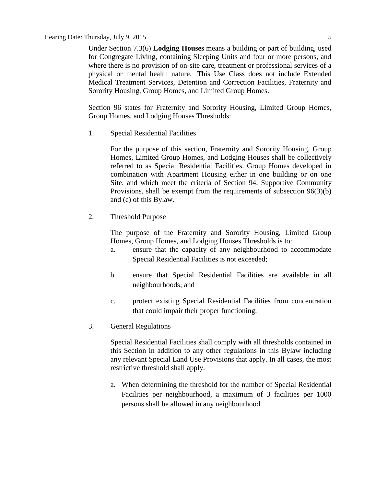#### Hearing Date: Thursday, July 9, 2015 5

Under Section 7.3(6) **Lodging Houses** means a building or part of building, used for Congregate Living, containing Sleeping Units and four or more persons, and where there is no provision of on-site care, treatment or professional services of a physical or mental health nature. This Use Class does not include Extended Medical Treatment Services, Detention and Correction Facilities, Fraternity and Sorority Housing, Group Homes, and Limited Group Homes.

Section 96 states for Fraternity and Sorority Housing, Limited Group Homes, Group Homes, and Lodging Houses Thresholds:

1. Special Residential Facilities

For the purpose of this section, [Fraternity and Sorority Housing, Group](javascript:void(0);)  [Homes, Limited Group Homes,](javascript:void(0);) and [Lodging Houses](javascript:void(0);) shall be collectively referred to as Special Residential Facilities. Group Homes developed in combination with Apartment Housing either in one building or on one Site, and which meet the criteria of [Section 94,](http://webdocs.edmonton.ca/InfraPlan/zoningbylaw/ZoningBylaw/Part1/Special_Land/94._Supportive_Community_Provision.htm) Supportive Community Provisions, shall be exempt from the requirements of subsection 96(3)(b) and (c) of this Bylaw.

2. Threshold Purpose

The purpose of the Fraternity and Sorority Housing, Limited Group Homes, Group Homes, and Lodging Houses Thresholds is to:

- a. ensure that the capacity of any neighbourhood to accommodate Special Residential Facilities is not exceeded;
- b. ensure that Special Residential Facilities are available in all neighbourhoods; and
- c. protect existing Special Residential Facilities from concentration that could impair their proper functioning.
- 3. General Regulations

Special Residential Facilities shall comply with all thresholds contained in this Section in addition to any other regulations in this Bylaw including any relevant Special Land Use Provisions that apply. In all cases, the most restrictive threshold shall apply.

a. When determining the threshold for the number of Special Residential Facilities per neighbourhood, a maximum of 3 facilities per 1000 persons shall be allowed in any neighbourhood.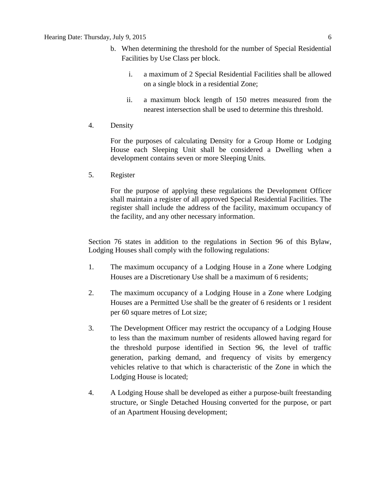- b. When determining the threshold for the number of Special Residential Facilities by Use Class per block.
	- i. a maximum of 2 Special Residential Facilities shall be allowed on a single block in a residential Zone;
	- ii. a maximum block length of [150 me](javascript:void(0);)tres measured from the nearest intersection shall be used to determine this threshold.
- 4. Density

For the purposes of calculating Density for a Group Home or Lodging House each Sleeping Unit shall be considered a Dwelling when a development contains seven or more Sleeping Units.

5. Register

For the purpose of applying these regulations the Development Officer shall maintain a register of all approved Special Residential Facilities. The register shall include the address of the facility, maximum occupancy of the facility, and any other necessary information.

Section 76 states in addition to the regulations in [Section 96](http://webdocs.edmonton.ca/InfraPlan/zoningbylaw/ZoningBylaw/Part1/Special_Land/96._Fraternity_and_Sorority_Housing,_Limited_Group_Homes,_Group_Homes,_and_Lodging_Houses_Thresholds.htm) of this Bylaw, Lodging Houses shall comply with the following regulations:

- 1. The maximum occupancy of a [Lodging House](javascript:void(0);) in a Zone where Lodging Houses are a Discretionary Use shall be a maximum of 6 residents;
- 2. The maximum occupancy of a Lodging House in a Zone where Lodging Houses are a Permitted Use shall be the greater of 6 residents or 1 resident per 60 square metres of Lot size;
- 3. The Development Officer may restrict the occupancy of a Lodging House to less than the maximum number of residents allowed having regard for the threshold purpose identified in Section 96, the level of traffic generation, parking demand, and frequency of visits by emergency vehicles relative to that which is characteristic of the Zone in which the Lodging House is located;
- 4. A Lodging House shall be developed as either a purpose-built freestanding structure, or Single Detached Housing converted for the purpose, or part of an [Apartment Housing](javascript:void(0);) development;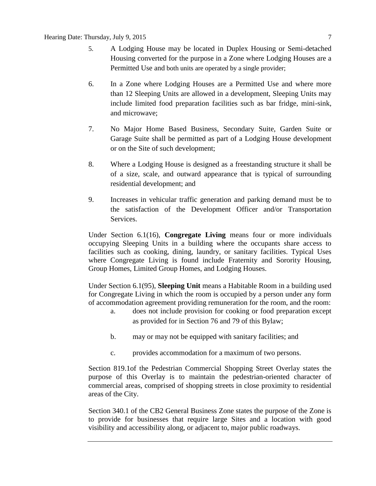- 5. A Lodging House may be located in [Duplex Housing](javascript:void(0);) or [Semi-detached](javascript:void(0);)  [Housing](javascript:void(0);) converted for the purpose in a Zone where Lodging Houses are a Permitted Use and both units are operated by a single provider;
- 6. In a Zone where Lodging Houses are a Permitted Use and where more than 12 Sleeping Units are allowed in a development, Sleeping Units may include limited food preparation facilities such as bar fridge, mini-sink, and microwave;
- 7. No [Major Home Based Business,](javascript:void(0);) [Secondary Suite,](javascript:void(0);) [Garden Suite](javascript:void(0);) or [Garage Suite](javascript:void(0);) shall be permitted as part of a Lodging House development or on the Site of such development;
- 8. Where a Lodging House is designed as a freestanding structure it shall be of a size, scale, and outward appearance that is typical of surrounding residential development; and
- 9. Increases in vehicular traffic generation and parking demand must be to the satisfaction of the Development Officer and/or Transportation Services.

Under Section 6.1(16), **Congregate Living** means four or more individuals occupying Sleeping Units in a building where the occupants share access to facilities such as cooking, dining, laundry, or sanitary facilities. Typical Uses where Congregate Living is found include Fraternity and Sorority Housing, Group Homes, Limited Group Homes, and Lodging Houses.

Under Section 6.1(95), **Sleeping Unit** means a Habitable Room in a building used for Congregate Living in which the room is occupied by a person under any form of accommodation agreement providing remuneration for the room, and the room:

- a. does not include provision for cooking or food preparation except as provided for in Section 76 and 79 of this Bylaw;
- b. may or may not be equipped with sanitary facilities; and
- c. provides accommodation for a maximum of two persons.

Section 819.1of the Pedestrian Commercial Shopping Street Overlay states the purpose of this Overlay is to maintain the pedestrian-oriented character of commercial areas, comprised of shopping streets in close proximity to residential areas of the City.

Section 340.1 of the CB2 General Business Zone states the purpose of the Zone is to provide for businesses that require large Sites and a location with good visibility and accessibility along, or adjacent to, major public roadways.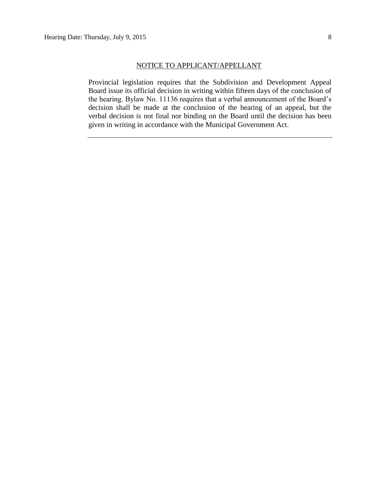Provincial legislation requires that the Subdivision and Development Appeal Board issue its official decision in writing within fifteen days of the conclusion of the hearing. Bylaw No. 11136 requires that a verbal announcement of the Board's decision shall be made at the conclusion of the hearing of an appeal, but the verbal decision is not final nor binding on the Board until the decision has been given in writing in accordance with the Municipal Government Act.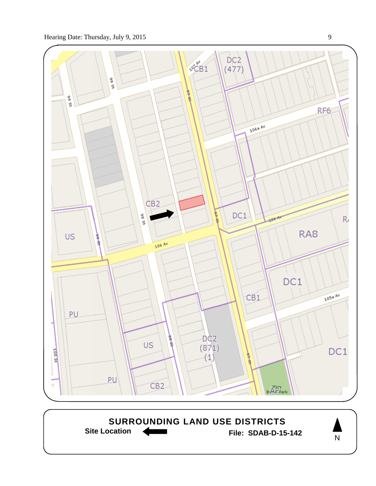

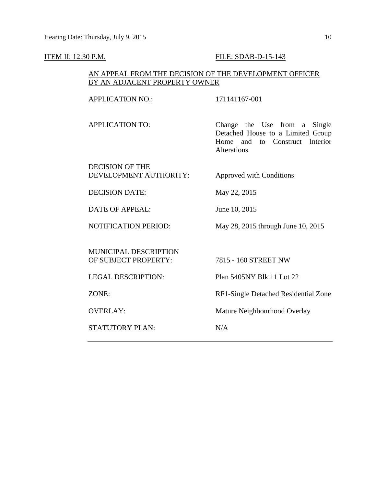#### **ITEM II: 12:30 P.M. FILE: SDAB-D-15-143**

## AN APPEAL FROM THE DECISION OF THE DEVELOPMENT OFFICER BY AN ADJACENT PROPERTY OWNER

APPLICATION NO.: 171141167-001

APPLICATION TO: Change the Use from a Single Detached House to a Limited Group Home and to Construct Interior Alterations

DECISION OF THE DEVELOPMENT AUTHORITY: Approved with Conditions

DECISION DATE: May 22, 2015

DATE OF APPEAL: June 10, 2015

NOTIFICATION PERIOD: May 28, 2015 through June 10, 2015

MUNICIPAL DESCRIPTION OF SUBJECT PROPERTY: 7815 - 160 STREET NW

STATUTORY PLAN: N/A

LEGAL DESCRIPTION: Plan 5405NY Blk 11 Lot 22

ZONE: RF1-Single Detached Residential Zone

OVERLAY: Mature Neighbourhood Overlay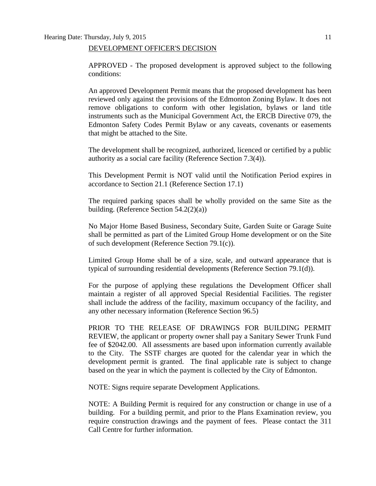#### DEVELOPMENT OFFICER'S DECISION

APPROVED - The proposed development is approved subject to the following conditions:

An approved Development Permit means that the proposed development has been reviewed only against the provisions of the Edmonton Zoning Bylaw. It does not remove obligations to conform with other legislation, bylaws or land title instruments such as the Municipal Government Act, the ERCB Directive 079, the Edmonton Safety Codes Permit Bylaw or any caveats, covenants or easements that might be attached to the Site.

The development shall be recognized, authorized, licenced or certified by a public authority as a social care facility (Reference Section 7.3(4)).

This Development Permit is NOT valid until the Notification Period expires in accordance to Section 21.1 (Reference Section 17.1)

The required parking spaces shall be wholly provided on the same Site as the building. (Reference Section 54.2(2)(a))

No Major Home Based Business, Secondary Suite, Garden Suite or Garage Suite shall be permitted as part of the Limited Group Home development or on the Site of such development (Reference Section 79.1(c)).

Limited Group Home shall be of a size, scale, and outward appearance that is typical of surrounding residential developments (Reference Section 79.1(d)).

For the purpose of applying these regulations the Development Officer shall maintain a register of all approved Special Residential Facilities. The register shall include the address of the facility, maximum occupancy of the facility, and any other necessary information (Reference Section 96.5)

PRIOR TO THE RELEASE OF DRAWINGS FOR BUILDING PERMIT REVIEW, the applicant or property owner shall pay a Sanitary Sewer Trunk Fund fee of \$2042.00. All assessments are based upon information currently available to the City. The SSTF charges are quoted for the calendar year in which the development permit is granted. The final applicable rate is subject to change based on the year in which the payment is collected by the City of Edmonton.

NOTE: Signs require separate Development Applications.

NOTE: A Building Permit is required for any construction or change in use of a building. For a building permit, and prior to the Plans Examination review, you require construction drawings and the payment of fees. Please contact the 311 Call Centre for further information.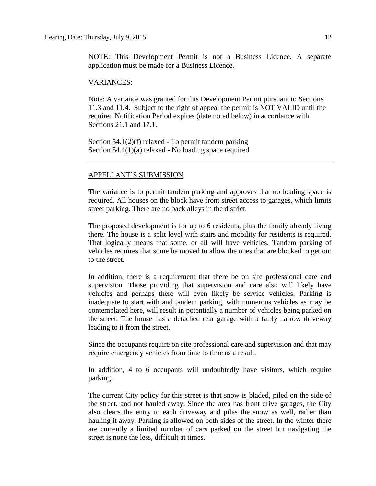NOTE: This Development Permit is not a Business Licence. A separate application must be made for a Business Licence.

#### VARIANCES:

Note: A variance was granted for this Development Permit pursuant to Sections 11.3 and 11.4. Subject to the right of appeal the permit is NOT VALID until the required Notification Period expires (date noted below) in accordance with Sections 21.1 and 17.1.

Section 54.1(2)(f) relaxed - To permit tandem parking Section 54.4(1)(a) relaxed - No loading space required

#### APPELLANT'S SUBMISSION

The variance is to permit tandem parking and approves that no loading space is required. All houses on the block have front street access to garages, which limits street parking. There are no back alleys in the district.

The proposed development is for up to 6 residents, plus the family already living there. The house is a split level with stairs and mobility for residents is required. That logically means that some, or all will have vehicles. Tandem parking of vehicles requires that some be moved to allow the ones that are blocked to get out to the street.

In addition, there is a requirement that there be on site professional care and supervision. Those providing that supervision and care also will likely have vehicles and perhaps there will even likely be service vehicles. Parking is inadequate to start with and tandem parking, with numerous vehicles as may be contemplated here, will result in potentially a number of vehicles being parked on the street. The house has a detached rear garage with a fairly narrow driveway leading to it from the street.

Since the occupants require on site professional care and supervision and that may require emergency vehicles from time to time as a result.

In addition, 4 to 6 occupants will undoubtedly have visitors, which require parking.

The current City policy for this street is that snow is bladed, piled on the side of the street, and not hauled away. Since the area has front drive garages, the City also clears the entry to each driveway and piles the snow as well, rather than hauling it away. Parking is allowed on both sides of the street. In the winter there are currently a limited number of cars parked on the street but navigating the street is none the less, difficult at times.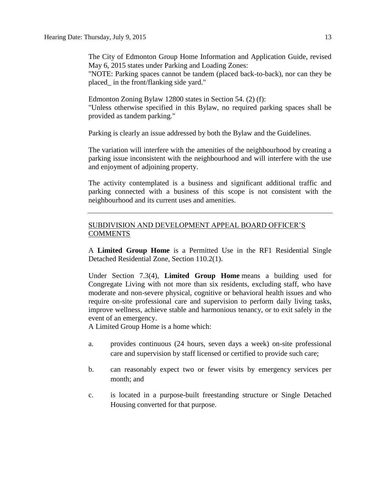The City of Edmonton Group Home Information and Application Guide, revised May 6, 2015 states under Parking and Loading Zones:

"NOTE: Parking spaces cannot be tandem (placed back-to-back), nor can they be placed\_ in the front/flanking side yard."

Edmonton Zoning Bylaw 12800 states in Section 54. (2) (f): "Unless otherwise specified in this Bylaw, no required parking spaces shall be provided as tandem parking."

Parking is clearly an issue addressed by both the Bylaw and the Guidelines.

The variation will interfere with the amenities of the neighbourhood by creating a parking issue inconsistent with the neighbourhood and will interfere with the use and enjoyment of adjoining property.

The activity contemplated is a business and significant additional traffic and parking connected with a business of this scope is not consistent with the neighbourhood and its current uses and amenities.

## SUBDIVISION AND DEVELOPMENT APPEAL BOARD OFFICER'S **COMMENTS**

A **Limited Group Home** is a Permitted Use in the RF1 Residential Single Detached Residential Zone, Section 110.2(1).

Under Section 7.3(4), **Limited Group Home** means a building used for Congregate Living with not more than six residents, excluding staff, who have moderate and non-severe physical, cognitive or behavioral health issues and who require on-site professional care and supervision to perform daily living tasks, improve wellness, achieve stable and harmonious tenancy, or to exit safely in the event of an emergency.

A Limited Group Home is a home which:

- a. provides continuous (24 hours, seven days a week) on-site professional care and supervision by staff licensed or certified to provide such care;
- b. can reasonably expect two or fewer visits by emergency services per month; and
- c. is located in a purpose-built freestanding structure or Single Detached Housing converted for that purpose.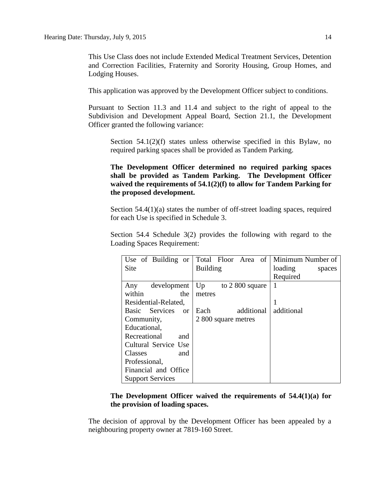This Use Class does not include Extended Medical Treatment Services, Detention and Correction Facilities, Fraternity and Sorority Housing, Group Homes, and Lodging Houses.

This application was approved by the Development Officer subject to conditions.

Pursuant to Section 11.3 and 11.4 and subject to the right of appeal to the Subdivision and Development Appeal Board, Section 21.1, the Development Officer granted the following variance:

Section 54.1(2)(f) states unless otherwise specified in this Bylaw, no required parking spaces shall be provided as Tandem Parking.

**The Development Officer determined no required parking spaces shall be provided as Tandem Parking. The Development Officer waived the requirements of 54.1(2)(f) to allow for Tandem Parking for the proposed development.** 

Section 54.4(1)(a) states the number of off-street loading spaces, required for each Use is specified in Schedule 3.

Section 54.4 Schedule 3(2) provides the following with regard to the Loading Spaces Requirement:

| Use of Building or              | Total Floor Area of   | Minimum Number of |
|---------------------------------|-----------------------|-------------------|
| Site                            | <b>Building</b>       | loading<br>spaces |
|                                 |                       | Required          |
| development<br>Any              | Up<br>to 2 800 square | 1                 |
| within<br>the                   | metres                |                   |
| Residential-Related,            |                       |                   |
| Basic Services<br><sub>or</sub> | additional<br>Each    | additional        |
| Community,                      | 2 800 square metres   |                   |
| Educational,                    |                       |                   |
| Recreational<br>and             |                       |                   |
| Cultural Service Use            |                       |                   |
| Classes<br>and                  |                       |                   |
| Professional,                   |                       |                   |
| Financial and Office            |                       |                   |
| <b>Support Services</b>         |                       |                   |

## **The Development Officer waived the requirements of 54.4(1)(a) for the provision of loading spaces.**

The decision of approval by the Development Officer has been appealed by a neighbouring property owner at 7819-160 Street.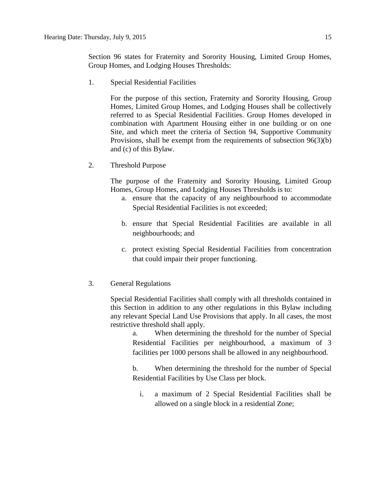Section 96 states for Fraternity and Sorority Housing, Limited Group Homes, Group Homes, and Lodging Houses Thresholds:

1. Special Residential Facilities

For the purpose of this section, [Fraternity and Sorority Housing, Group](javascript:void(0);)  [Homes, Limited Group Homes,](javascript:void(0);) and [Lodging Houses](javascript:void(0);) shall be collectively referred to as Special Residential Facilities. Group Homes developed in combination with Apartment Housing either in one building or on one Site, and which meet the criteria of [Section 94,](http://webdocs.edmonton.ca/InfraPlan/zoningbylaw/ZoningBylaw/Part1/Special_Land/94._Supportive_Community_Provision.htm) Supportive Community Provisions, shall be exempt from the requirements of subsection 96(3)(b) and (c) of this Bylaw.

2. Threshold Purpose

The purpose of the Fraternity and Sorority Housing, Limited Group Homes, Group Homes, and Lodging Houses Thresholds is to:

- a. ensure that the capacity of any neighbourhood to accommodate Special Residential Facilities is not exceeded;
- b. ensure that Special Residential Facilities are available in all neighbourhoods; and
- c. protect existing Special Residential Facilities from concentration that could impair their proper functioning.
- 3. General Regulations

Special Residential Facilities shall comply with all thresholds contained in this Section in addition to any other regulations in this Bylaw including any relevant Special Land Use Provisions that apply. In all cases, the most restrictive threshold shall apply.

a. When determining the threshold for the number of Special Residential Facilities per neighbourhood, a maximum of 3 facilities per 1000 persons shall be allowed in any neighbourhood.

b. When determining the threshold for the number of Special Residential Facilities by Use Class per block.

i. a maximum of 2 Special Residential Facilities shall be allowed on a single block in a residential Zone;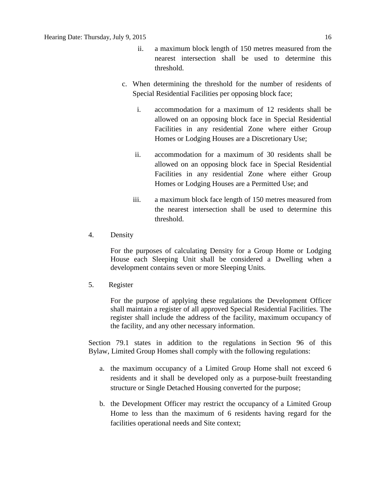- ii. a maximum block length of [150 me](javascript:void(0);)tres measured from the nearest intersection shall be used to determine this threshold.
- c. When determining the threshold for the number of residents of Special Residential Facilities per opposing block face;
	- i. accommodation for a maximum of 12 residents shall be allowed on an opposing block face in Special Residential Facilities in any residential Zone where either Group Homes or Lodging Houses are a Discretionary Use;
	- ii. accommodation for a maximum of 30 residents shall be allowed on an opposing block face in Special Residential Facilities in any residential Zone where either Group Homes or Lodging Houses are a Permitted Use; and
	- iii. a maximum block face length of [150 me](javascript:void(0);)tres measured from the nearest intersection shall be used to determine this threshold.
- 4. Density

For the purposes of calculating Density for a Group Home or Lodging House each Sleeping Unit shall be considered a Dwelling when a development contains seven or more Sleeping Units.

5. Register

For the purpose of applying these regulations the Development Officer shall maintain a register of all approved Special Residential Facilities. The register shall include the address of the facility, maximum occupancy of the facility, and any other necessary information.

Section 79.1 states in addition to the regulations in Section 96 of this Bylaw, Limited Group Homes shall comply with the following regulations:

- a. the maximum occupancy of a Limited Group Home shall not exceed 6 residents and it shall be developed only as a purpose-built freestanding structure or Single Detached Housing converted for the purpose;
- b. the Development Officer may restrict the occupancy of a Limited Group Home to less than the maximum of 6 residents having regard for the facilities operational needs and Site context;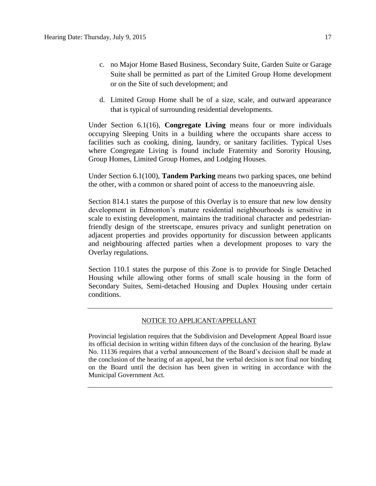- c. no Major Home Based Business, Secondary Suite, Garden Suite or Garage Suite shall be permitted as part of the Limited Group Home development or on the Site of such development; and
- d. Limited Group Home shall be of a size, scale, and outward appearance that is typical of surrounding residential developments.

Under Section 6.1(16), **Congregate Living** means four or more individuals occupying Sleeping Units in a building where the occupants share access to facilities such as cooking, dining, laundry, or sanitary facilities. Typical Uses where Congregate Living is found include Fraternity and Sorority Housing, Group Homes, Limited Group Homes, and Lodging Houses.

Under Section 6.1(100), **Tandem Parking** means two parking spaces, one behind the other, with a common or shared point of access to the manoeuvring aisle.

Section 814.1 states the purpose of this Overlay is to ensure that new low density development in Edmonton's mature residential neighbourhoods is sensitive in scale to existing development, maintains the traditional character and pedestrianfriendly design of the streetscape, ensures privacy and sunlight penetration on adjacent properties and provides opportunity for discussion between applicants and neighbouring affected parties when a development proposes to vary the Overlay regulations.

Section 110.1 states the purpose of this Zone is to provide for Single Detached Housing while allowing other forms of small scale housing in the form of Secondary Suites, Semi-detached Housing and Duplex Housing under certain conditions.

#### NOTICE TO APPLICANT/APPELLANT

Provincial legislation requires that the Subdivision and Development Appeal Board issue its official decision in writing within fifteen days of the conclusion of the hearing. Bylaw No. 11136 requires that a verbal announcement of the Board's decision shall be made at the conclusion of the hearing of an appeal, but the verbal decision is not final nor binding on the Board until the decision has been given in writing in accordance with the Municipal Government Act.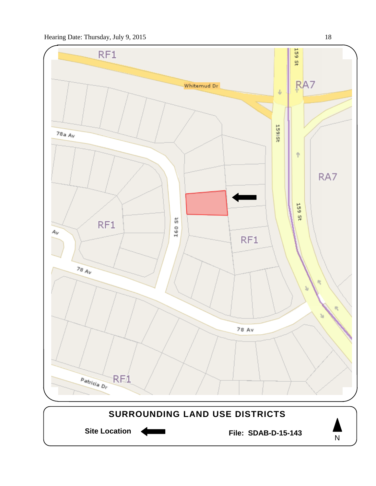